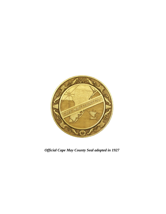

*Official Cape May County Seal adopted in 1927*